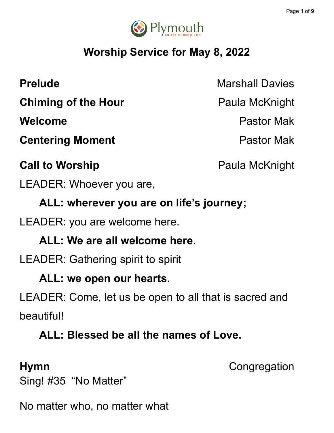

# **Worship Service for May 8, 2022**

**Prelude** Marshall Davies **Chiming of the Hour** Paula McKnight **Welcome** Pastor Mak **Centering Moment Centering Moment** 

# **Call to Worship Call to Worship Paula McKnight**

LEADER: Whoever you are,

**ALL: wherever you are on life's journey;**

LEADER: you are welcome here.

## **ALL: We are all welcome here.**

LEADER: Gathering spirit to spirit

### **ALL: we open our hearts.**

LEADER: Come, let us be open to all that is sacred and beautiful!

## **ALL: Blessed be all the names of Love.**

**Hymn** Congregation

Sing! #35 "No Matter"

No matter who, no matter what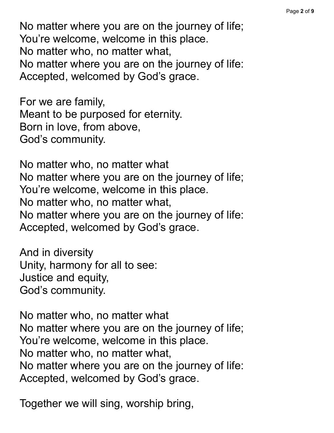No matter where you are on the journey of life; You're welcome, welcome in this place. No matter who, no matter what, No matter where you are on the journey of life: Accepted, welcomed by God's grace.

For we are family, Meant to be purposed for eternity. Born in love, from above, God's community.

No matter who, no matter what No matter where you are on the journey of life; You're welcome, welcome in this place. No matter who, no matter what, No matter where you are on the journey of life: Accepted, welcomed by God's grace.

And in diversity Unity, harmony for all to see: Justice and equity, God's community.

No matter who, no matter what No matter where you are on the journey of life; You're welcome, welcome in this place. No matter who, no matter what, No matter where you are on the journey of life: Accepted, welcomed by God's grace.

Together we will sing, worship bring,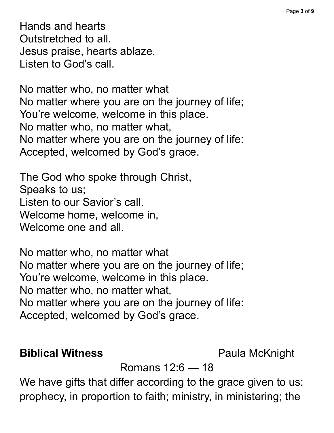Hands and hearts Outstretched to all. Jesus praise, hearts ablaze, Listen to God's call.

No matter who, no matter what No matter where you are on the journey of life; You're welcome, welcome in this place. No matter who, no matter what, No matter where you are on the journey of life: Accepted, welcomed by God's grace.

The God who spoke through Christ, Speaks to us; Listen to our Savior's call. Welcome home, welcome in, Welcome one and all.

No matter who, no matter what No matter where you are on the journey of life; You're welcome, welcome in this place. No matter who, no matter what, No matter where you are on the journey of life: Accepted, welcomed by God's grace.

### **Biblical Witness** Paula McKnight

Romans 12:6 — 18

We have gifts that differ according to the grace given to us: prophecy, in proportion to faith; ministry, in ministering; the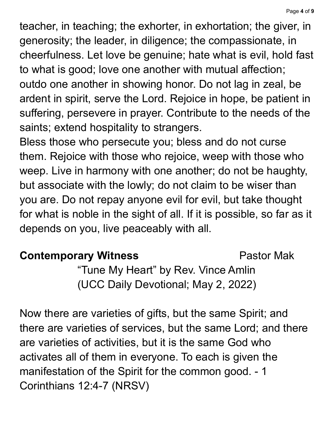teacher, in teaching; the exhorter, in exhortation; the giver, in generosity; the leader, in diligence; the compassionate, in cheerfulness. Let love be genuine; hate what is evil, hold fast to what is good; love one another with mutual affection; outdo one another in showing honor. Do not lag in zeal, be ardent in spirit, serve the Lord. Rejoice in hope, be patient in suffering, persevere in prayer. Contribute to the needs of the saints; extend hospitality to strangers.

Bless those who persecute you; bless and do not curse them. Rejoice with those who rejoice, weep with those who weep. Live in harmony with one another; do not be haughty, but associate with the lowly; do not claim to be wiser than you are. Do not repay anyone evil for evil, but take thought for what is noble in the sight of all. If it is possible, so far as it depends on you, live peaceably with all.

### **Contemporary Witness Example 20 Pastor Mak**

"Tune My Heart" by Rev. Vince Amlin (UCC Daily Devotional; May 2, 2022)

Now there are varieties of gifts, but the same Spirit; and there are varieties of services, but the same Lord; and there are varieties of activities, but it is the same God who activates all of them in everyone. To each is given the manifestation of the Spirit for the common good. - 1 Corinthians 12:4-7 (NRSV)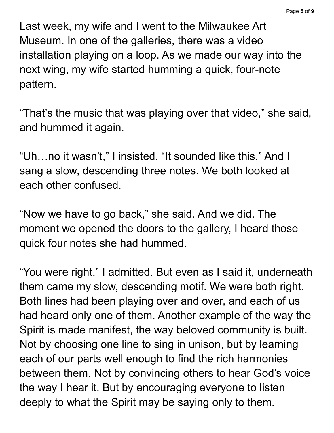Last week, my wife and I went to the Milwaukee Art Museum. In one of the galleries, there was a video installation playing on a loop. As we made our way into the next wing, my wife started humming a quick, four-note pattern.

"That's the music that was playing over that video, " she said, and hummed it again.

"Uh…no it wasn't, " I insisted. "It sounded like this." And I sang a slow, descending three notes. We both looked at each other confused.

"Now we have to go back, " she said. And we did. The moment we opened the doors to the gallery, I heard those quick four notes she had hummed.

"You were right, " I admitted. But even as I said it, underneath them came my slow, descending motif. We were both right. Both lines had been playing over and over, and each of us had heard only one of them. Another example of the way the Spirit is made manifest, the way beloved community is built. Not by choosing one line to sing in unison, but by learning each of our parts well enough to find the rich harmonies between them. Not by convincing others to hear God's voice the way I hear it. But by encouraging everyone to listen deeply to what the Spirit may be saying only to them.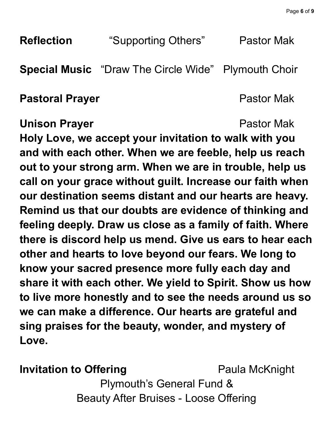| <b>Reflection</b>                                                                                                                                                                                                                                                                                                                                                                                                                                                                                                                  | "Supporting Others"                         | Pastor Mak            |
|------------------------------------------------------------------------------------------------------------------------------------------------------------------------------------------------------------------------------------------------------------------------------------------------------------------------------------------------------------------------------------------------------------------------------------------------------------------------------------------------------------------------------------|---------------------------------------------|-----------------------|
|                                                                                                                                                                                                                                                                                                                                                                                                                                                                                                                                    | <b>Special Music</b> "Draw The Circle Wide" | <b>Plymouth Choir</b> |
| <b>Pastoral Prayer</b>                                                                                                                                                                                                                                                                                                                                                                                                                                                                                                             |                                             | <b>Pastor Mak</b>     |
| <b>Pastor Mak</b><br><b>Unison Prayer</b><br>Holy Love, we accept your invitation to walk with you<br>and with each other. When we are feeble, help us reach<br>out to your strong arm. When we are in trouble, help us<br>call on your grace without guilt. Increase our faith when<br>our destination seems distant and our hearts are heavy.<br>Remind us that our doubts are evidence of thinking and<br>feeling deeply. Draw us close as a family of faith. Where<br>there is discord help us mend. Give us ears to hear each |                                             |                       |

**other and hearts to love beyond our fears. We long to know your sacred presence more fully each day and share it with each other. We yield to Spirit. Show us how to live more honestly and to see the needs around us so we can make a difference. Our hearts are grateful and sing praises for the beauty, wonder, and mystery of Love.**

### **Invitation to Offering Paula McKnight**

Plymouth's General Fund & Beauty After Bruises - Loose Offering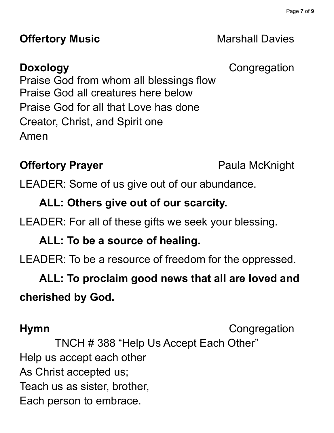### **Offertory Music Marshall Davies**

**Doxology** Congregation

Praise God from whom all blessings flow Praise God all creatures here below Praise God for all that Love has done Creator, Christ, and Spirit one Amen

### **Offertory Prayer Paula McKnight**

LEADER: Some of us give out of our abundance.

### **ALL: Others give out of our scarcity.**

LEADER: For all of these gifts we seek your blessing.

### **ALL: To be a source of healing.**

LEADER: To be a resource of freedom for the oppressed.

# **ALL: To proclaim good news that all are loved and cherished by God.**

**Hymn** Congregation

TNCH # 388 "Help Us Accept Each Other" Help us accept each other As Christ accepted us; Teach us as sister, brother, Each person to embrace.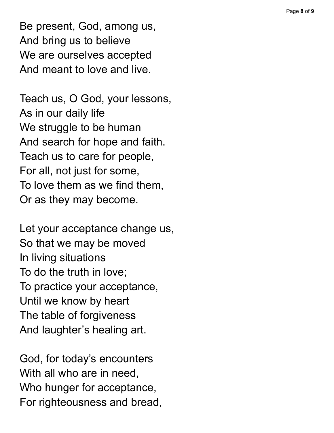Be present, God, among us, And bring us to believe We are ourselves accepted And meant to love and live.

Teach us, O God, your lesso n s, As in our daily life We struggle to be human And search for hope and faith. Teach us to care for people, For all, not just for some, To love them as we find them, Or as they may become.

Let your acceptance change us, So that we may be moved In living situations To do the truth in love; To practice your acceptance, Until we know by heart The table of forgiveness And laughter's healing art.

God, for today's encounters With all who are in need, Who hunger for acceptance, For righteousness and bread,